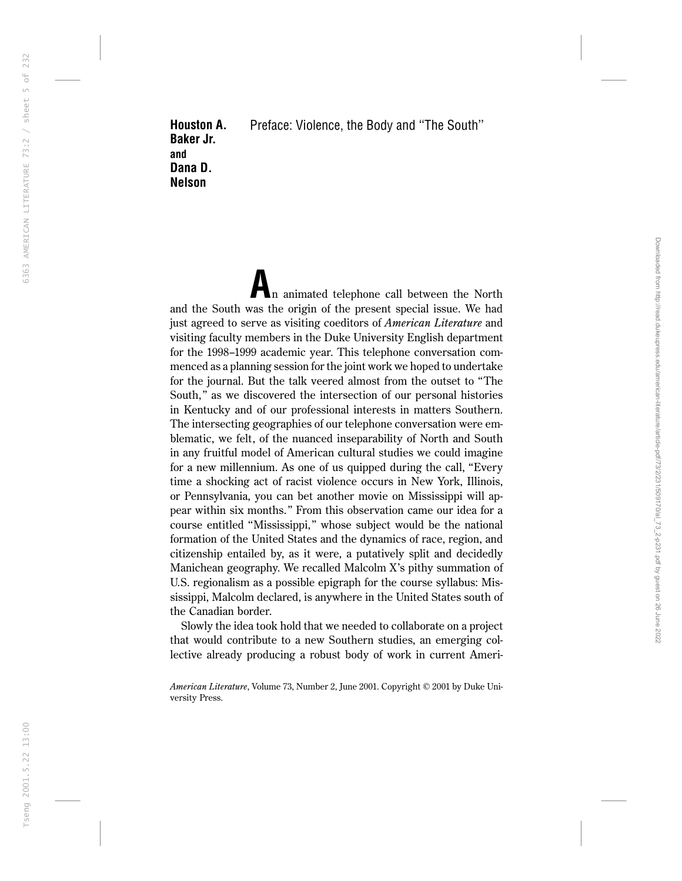Houston A. Baker Jr. and Dana D. Nelson Preface: Violence, the Body and ''The South''

n animated telephone call between the North and the South was the origin of the present special issue. We had just agreed to serve as visiting coeditors of *American Literature* and visiting faculty members in the Duke University English department for the 1998–1999 academic year. This telephone conversation commenced as a planning session for the joint work we hoped to undertake for the journal. But the talk veered almost from the outset to ''The South," as we discovered the intersection of our personal histories in Kentucky and of our professional interests in matters Southern. The intersecting geographies of our telephone conversation were emblematic, we felt, of the nuanced inseparability of North and South in any fruitful model of American cultural studies we could imagine for a new millennium. As one of us quipped during the call, ''Every time a shocking act of racist violence occurs in New York, Illinois, or Pennsylvania, you can bet another movie on Mississippi will appear within six months.'' From this observation came our idea for a course entitled ''Mississippi,'' whose subject would be the national formation of the United States and the dynamics of race, region, and citizenship entailed by, as it were, a putatively split and decidedly Manichean geography. We recalled Malcolm X's pithy summation of U.S. regionalism as a possible epigraph for the course syllabus: Mississippi, Malcolm declared, is anywhere in the United States south of the Canadian border.

Slowly the idea took hold that we needed to collaborate on a project that would contribute to a new Southern studies, an emerging collective already producing a robust body of work in current Ameri-

*American Literature*, Volume 73, Number 2, June 2001. Copyright © 2001 by Duke University Press.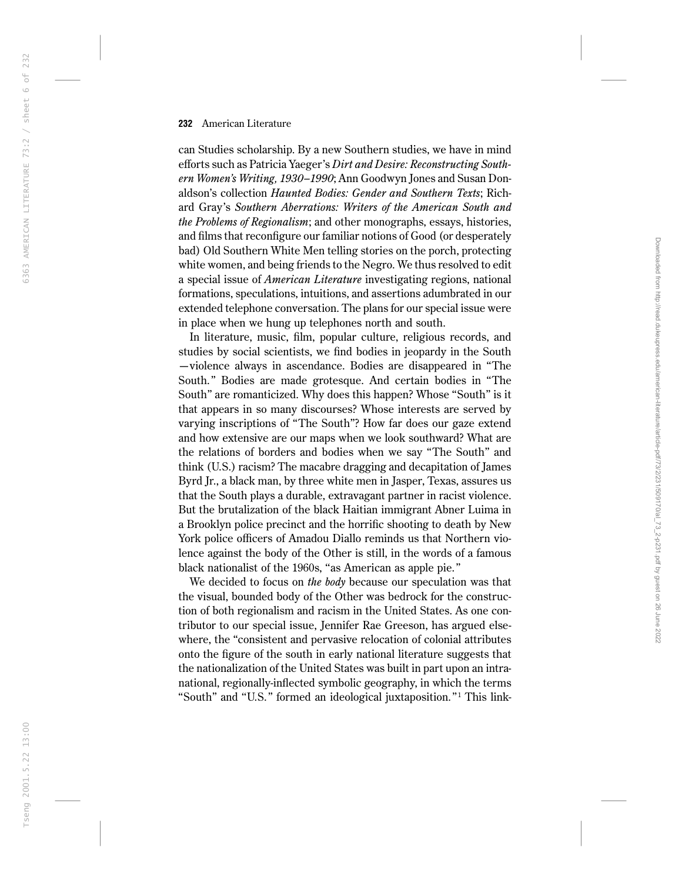can Studies scholarship. By a new Southern studies, we have in mind efforts such as Patricia Yaeger's *Dirt and Desire: Reconstructing Southern Women's Writing,1930–1990*; Ann Goodwyn Jones and Susan Donaldson's collection *Haunted Bodies: Gender and Southern Texts*; Richard Gray's *Southern Aberrations: Writers of the American South and the Problems of Regionalism*; and other monographs, essays, histories, and films that reconfigure our familiar notions of Good (or desperately bad) Old Southern White Men telling stories on the porch, protecting white women, and being friends to the Negro. We thus resolved to edit a special issue of *American Literature* investigating regions, national formations, speculations, intuitions, and assertions adumbrated in our extended telephone conversation. The plans for our special issue were in place when we hung up telephones north and south.

In literature, music, film, popular culture, religious records, and studies by social scientists, we find bodies in jeopardy in the South —violence always in ascendance. Bodies are disappeared in ''The South.'' Bodies are made grotesque. And certain bodies in ''The South'' are romanticized. Why does this happen? Whose ''South'' is it that appears in so many discourses? Whose interests are served by varying inscriptions of ''The South''? How far does our gaze extend and how extensive are our maps when we look southward? What are the relations of borders and bodies when we say ''The South'' and think (U.S.) racism? The macabre dragging and decapitation of James Byrd Jr., a black man, by three white men in Jasper, Texas, assures us that the South plays a durable, extravagant partner in racist violence. But the brutalization of the black Haitian immigrant Abner Luima in a Brooklyn police precinct and the horrific shooting to death by New York police officers of Amadou Diallo reminds us that Northern violence against the body of the Other is still, in the words of a famous black nationalist of the 1960s, "as American as apple pie."

We decided to focus on *the body* because our speculation was that the visual, bounded body of the Other was bedrock for the construction of both regionalism and racism in the United States. As one contributor to our special issue, Jennifer Rae Greeson, has argued elsewhere, the "consistent and pervasive relocation of colonial attributes onto the figure of the south in early national literature suggests that the nationalization of the United States was built in part upon an intranational, regionally-inflected symbolic geography, in which the terms "South" and "U.S." formed an ideological juxtaposition."<sup>1</sup> This link-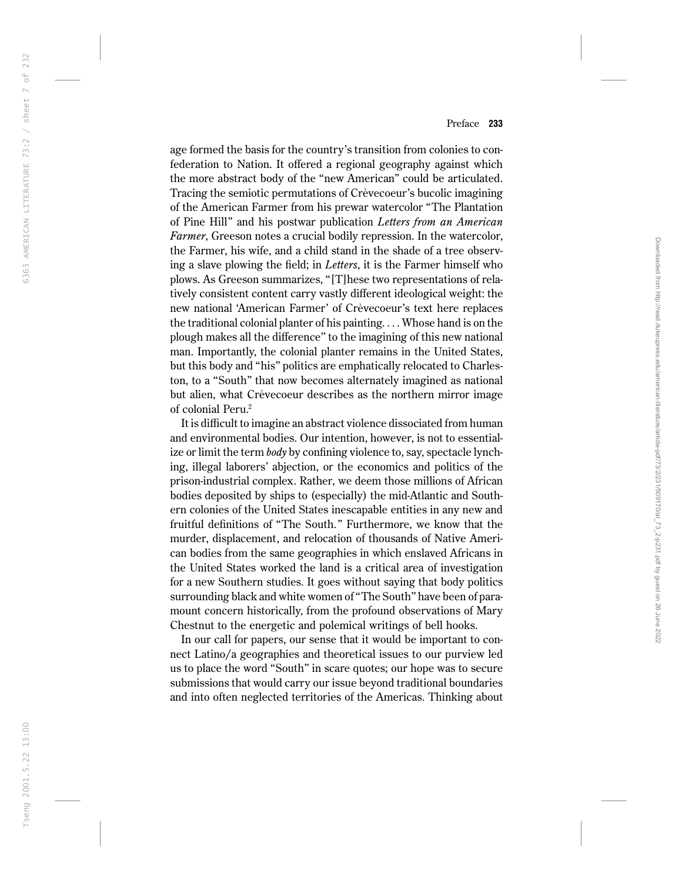age formed the basis for the country's transition from colonies to confederation to Nation. It offered a regional geography against which the more abstract body of the ''new American'' could be articulated. Tracing the semiotic permutations of Crèvecoeur's bucolic imagining of the American Farmer from his prewar watercolor ''The Plantation of Pine Hill'' and his postwar publication *Letters from an American Farmer*, Greeson notes a crucial bodily repression. In the watercolor, the Farmer, his wife, and a child stand in the shade of a tree observing a slave plowing the field; in *Letters*, it is the Farmer himself who plows. As Greeson summarizes, ''[T]hese two representations of relatively consistent content carry vastly different ideological weight: the new national 'American Farmer' of Crèvecoeur's text here replaces the traditional colonial planter of his painting. . . . Whose hand is on the plough makes all the difference'' to the imagining of this new national man. Importantly, the colonial planter remains in the United States, but this body and ''his'' politics are emphatically relocated to Charleston, to a ''South'' that now becomes alternately imagined as national but alien, what Crèvecoeur describes as the northern mirror image of colonial Peru. 2

It is difficult to imagine an abstract violence dissociated from human and environmental bodies. Our intention, however, is not to essentialize or limit the term *body* by confining violence to, say, spectacle lynching, illegal laborers' abjection, or the economics and politics of the prison-industrial complex. Rather, we deem those millions of African bodies deposited by ships to (especially) the mid-Atlantic and Southern colonies of the United States inescapable entities in any new and fruitful definitions of ''The South.'' Furthermore, we know that the murder, displacement, and relocation of thousands of Native American bodies from the same geographies in which enslaved Africans in the United States worked the land is a critical area of investigation for a new Southern studies. It goes without saying that body politics surrounding black and white women of ''The South'' have been of paramount concern historically, from the profound observations of Mary Chestnut to the energetic and polemical writings of bell hooks.

In our call for papers, our sense that it would be important to connect Latino/a geographies and theoretical issues to our purview led us to place the word ''South'' in scare quotes; our hope was to secure submissions that would carry our issue beyond traditional boundaries and into often neglected territories of the Americas. Thinking about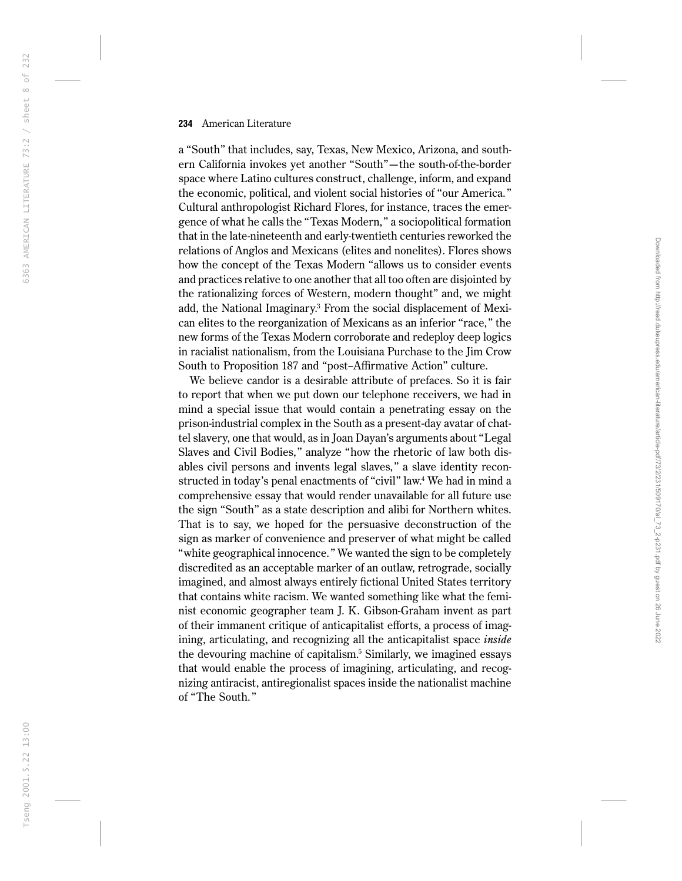a ''South'' that includes, say, Texas, New Mexico, Arizona, and southern California invokes yet another ''South''—the south-of-the-border space where Latino cultures construct, challenge, inform, and expand the economic, political, and violent social histories of ''our America.'' Cultural anthropologist Richard Flores, for instance, traces the emergence of what he calls the ''Texas Modern,'' a sociopolitical formation that in the late-nineteenth and early-twentieth centuries reworked the relations of Anglos and Mexicans (elites and nonelites). Flores shows how the concept of the Texas Modern ''allows us to consider events and practices relative to one another that all too often are disjointed by the rationalizing forces of Western, modern thought'' and, we might add, the National Imaginary. <sup>3</sup> From the social displacement of Mexican elites to the reorganization of Mexicans as an inferior "race," the new forms of the Texas Modern corroborate and redeploy deep logics in racialist nationalism, from the Louisiana Purchase to the Jim Crow South to Proposition 187 and ''post–Affirmative Action'' culture.

We believe candor is a desirable attribute of prefaces. So it is fair to report that when we put down our telephone receivers, we had in mind a special issue that would contain a penetrating essay on the prison-industrial complex in the South as a present-day avatar of chattel slavery, one that would, as in Joan Dayan's arguments about ''Legal Slaves and Civil Bodies,'' analyze ''how the rhetoric of law both disables civil persons and invents legal slaves,'' a slave identity reconstructed in today's penal enactments of "civil" law.<sup>4</sup> We had in mind a comprehensive essay that would render unavailable for all future use the sign ''South'' as a state description and alibi for Northern whites. That is to say, we hoped for the persuasive deconstruction of the sign as marker of convenience and preserver of what might be called ''white geographical innocence.'' We wanted the sign to be completely discredited as an acceptable marker of an outlaw, retrograde, socially imagined, and almost always entirely fictional United States territory that contains white racism. We wanted something like what the feminist economic geographer team J. K. Gibson-Graham invent as part of their immanent critique of anticapitalist efforts, a process of imagining, articulating, and recognizing all the anticapitalist space *inside* the devouring machine of capitalism. <sup>5</sup> Similarly, we imagined essays that would enable the process of imagining, articulating, and recognizing antiracist, antiregionalist spaces inside the nationalist machine of ''The South.''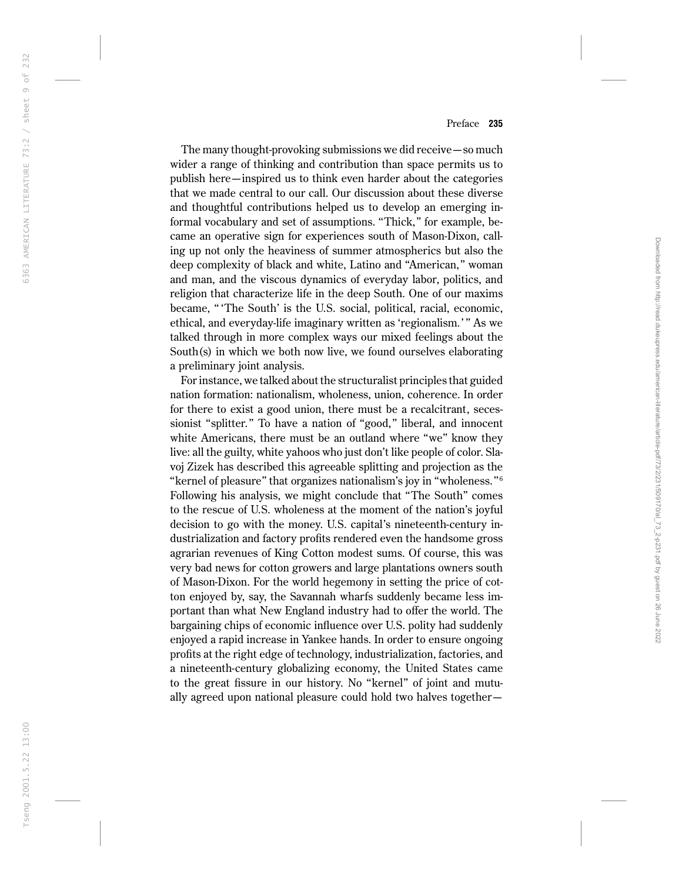The many thought-provoking submissions we did receive—so much wider a range of thinking and contribution than space permits us to publish here—inspired us to think even harder about the categories that we made central to our call. Our discussion about these diverse and thoughtful contributions helped us to develop an emerging informal vocabulary and set of assumptions. "Thick," for example, became an operative sign for experiences south of Mason-Dixon, calling up not only the heaviness of summer atmospherics but also the deep complexity of black and white, Latino and ''American,'' woman and man, and the viscous dynamics of everyday labor, politics, and religion that characterize life in the deep South. One of our maxims became, '' 'The South' is the U.S. social, political, racial, economic, ethical, and everyday-life imaginary written as 'regionalism.' '' As we talked through in more complex ways our mixed feelings about the South(s) in which we both now live, we found ourselves elaborating a preliminary joint analysis.

For instance, we talked about the structuralist principles that guided nation formation: nationalism, wholeness, union, coherence. In order for there to exist a good union, there must be a recalcitrant, secessionist "splitter." To have a nation of "good," liberal, and innocent white Americans, there must be an outland where "we" know they live: all the guilty, white yahoos who just don't like people of color. Slavoj Zizek has described this agreeable splitting and projection as the "kernel of pleasure" that organizes nationalism's joy in "wholeness."  $\rm ^6$ Following his analysis, we might conclude that ''The South'' comes to the rescue of U.S. wholeness at the moment of the nation's joyful decision to go with the money. U.S. capital's nineteenth-century industrialization and factory profits rendered even the handsome gross agrarian revenues of King Cotton modest sums. Of course, this was very bad news for cotton growers and large plantations owners south of Mason-Dixon. For the world hegemony in setting the price of cotton enjoyed by, say, the Savannah wharfs suddenly became less important than what New England industry had to offer the world. The bargaining chips of economic influence over U.S. polity had suddenly enjoyed a rapid increase in Yankee hands. In order to ensure ongoing profits at the right edge of technology, industrialization, factories, and a nineteenth-century globalizing economy, the United States came to the great fissure in our history. No ''kernel'' of joint and mutually agreed upon national pleasure could hold two halves together—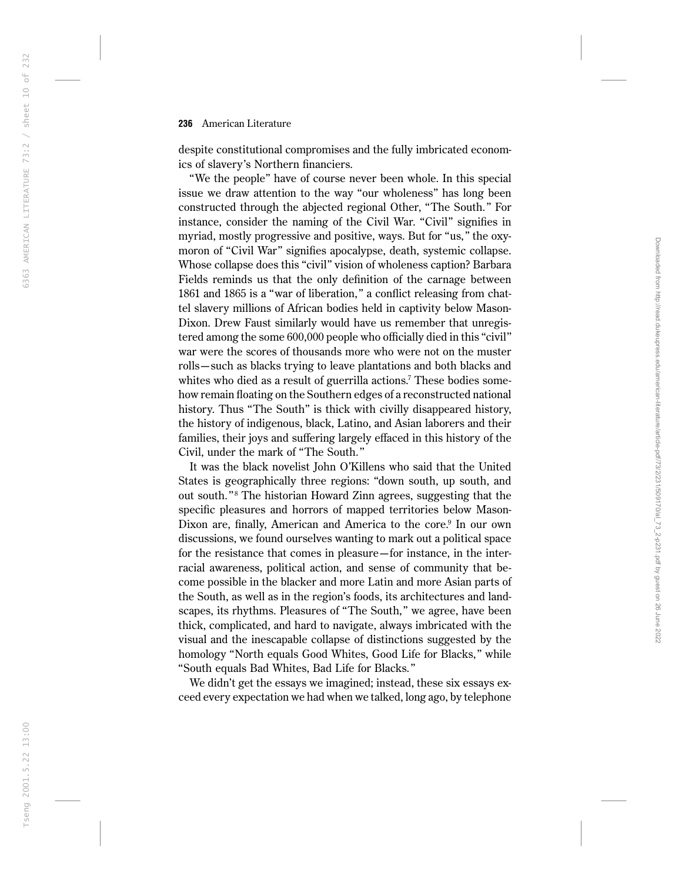despite constitutional compromises and the fully imbricated economics of slavery's Northern financiers.

''We the people'' have of course never been whole. In this special issue we draw attention to the way ''our wholeness'' has long been constructed through the abjected regional Other, ''The South.'' For instance, consider the naming of the Civil War. "Civil" signifies in myriad, mostly progressive and positive, ways. But for "us," the oxymoron of "Civil War" signifies apocalypse, death, systemic collapse. Whose collapse does this "civil" vision of wholeness caption? Barbara Fields reminds us that the only definition of the carnage between 1861 and 1865 is a ''war of liberation,'' a conflict releasing from chattel slavery millions of African bodies held in captivity below Mason-Dixon. Drew Faust similarly would have us remember that unregistered among the some 600,000 people who officially died in this ''civil'' war were the scores of thousands more who were not on the muster rolls—such as blacks trying to leave plantations and both blacks and whites who died as a result of guerrilla actions. <sup>7</sup> These bodies somehow remain floating on the Southern edges of a reconstructed national history. Thus "The South" is thick with civilly disappeared history, the history of indigenous, black, Latino, and Asian laborers and their families, their joys and suffering largely effaced in this history of the Civil, under the mark of ''The South.''

It was the black novelist John O'Killens who said that the United States is geographically three regions: ''down south, up south, and out south.'' <sup>8</sup> The historian Howard Zinn agrees, suggesting that the specific pleasures and horrors of mapped territories below Mason-Dixon are, finally, American and America to the core.<sup>9</sup> In our own discussions, we found ourselves wanting to mark out a political space for the resistance that comes in pleasure—for instance, in the interracial awareness, political action, and sense of community that become possible in the blacker and more Latin and more Asian parts of the South, as well as in the region's foods, its architectures and landscapes, its rhythms. Pleasures of "The South," we agree, have been thick, complicated, and hard to navigate, always imbricated with the visual and the inescapable collapse of distinctions suggested by the homology ''North equals Good Whites, Good Life for Blacks,'' while ''South equals Bad Whites, Bad Life for Blacks.''

We didn't get the essays we imagined; instead, these six essays exceed every expectation we had when we talked, long ago, by telephone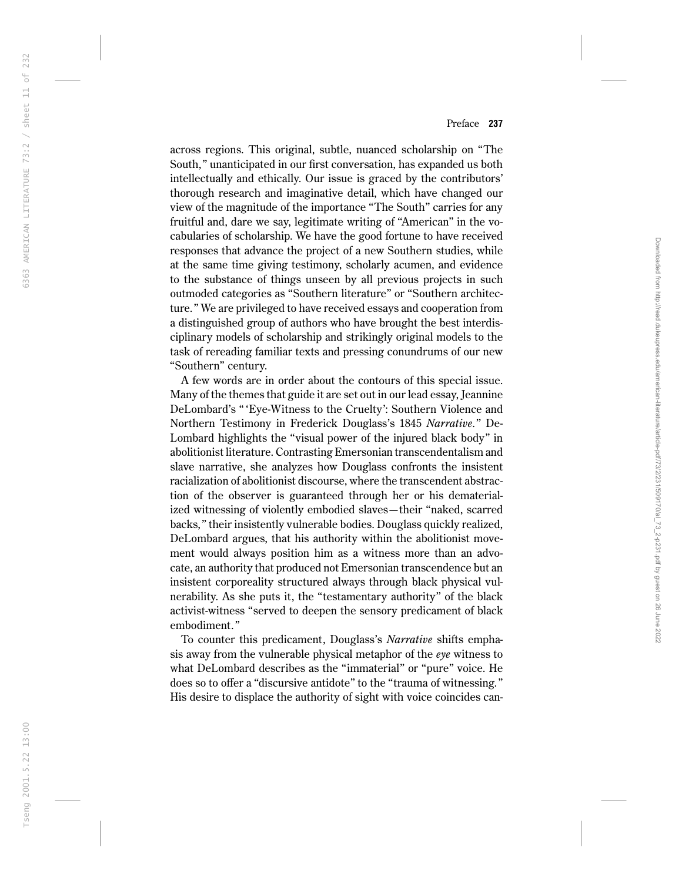across regions. This original, subtle, nuanced scholarship on ''The South,'' unanticipated in our first conversation, has expanded us both intellectually and ethically. Our issue is graced by the contributors' thorough research and imaginative detail, which have changed our view of the magnitude of the importance ''The South'' carries for any fruitful and, dare we say, legitimate writing of ''American'' in the vocabularies of scholarship. We have the good fortune to have received responses that advance the project of a new Southern studies, while at the same time giving testimony, scholarly acumen, and evidence to the substance of things unseen by all previous projects in such outmoded categories as ''Southern literature'' or ''Southern architecture.'' We are privileged to have received essays and cooperation from a distinguished group of authors who have brought the best interdisciplinary models of scholarship and strikingly original models to the task of rereading familiar texts and pressing conundrums of our new ''Southern'' century.

A few words are in order about the contours of this special issue. Many of the themes that guide it are set out in our lead essay, Jeannine DeLombard's '' 'Eye-Witness to the Cruelty': Southern Violence and Northern Testimony in Frederick Douglass's 1845 *Narrative*.'' De-Lombard highlights the ''visual power of the injured black body'' in abolitionist literature. Contrasting Emersonian transcendentalism and slave narrative, she analyzes how Douglass confronts the insistent racialization of abolitionist discourse, where the transcendent abstraction of the observer is guaranteed through her or his dematerialized witnessing of violently embodied slaves—their ''naked, scarred backs,'' their insistently vulnerable bodies. Douglass quickly realized, DeLombard argues, that his authority within the abolitionist movement would always position him as a witness more than an advocate, an authority that produced not Emersonian transcendence but an insistent corporeality structured always through black physical vulnerability. As she puts it, the ''testamentary authority'' of the black activist-witness ''served to deepen the sensory predicament of black embodiment.''

To counter this predicament, Douglass's *Narrative* shifts emphasis away from the vulnerable physical metaphor of the *eye* witness to what DeLombard describes as the ''immaterial'' or ''pure'' voice. He does so to offer a ''discursive antidote'' to the ''trauma of witnessing.'' His desire to displace the authority of sight with voice coincides can-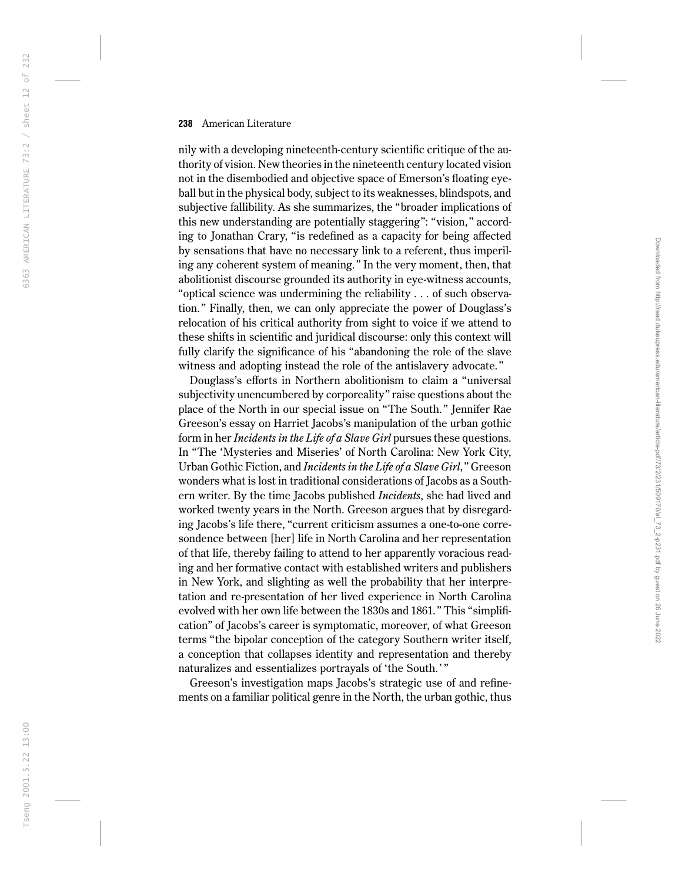nily with a developing nineteenth-century scientific critique of the authority of vision. New theories in the nineteenth century located vision not in the disembodied and objective space of Emerson's floating eyeball but in the physical body, subject to its weaknesses, blindspots, and subjective fallibility. As she summarizes, the ''broader implications of this new understanding are potentially staggering'': ''vision,'' according to Jonathan Crary, ''is redefined as a capacity for being affected by sensations that have no necessary link to a referent, thus imperiling any coherent system of meaning.'' In the very moment, then, that abolitionist discourse grounded its authority in eye-witness accounts, ''optical science was undermining the reliability . . . of such observation.'' Finally, then, we can only appreciate the power of Douglass's relocation of his critical authority from sight to voice if we attend to these shifts in scientific and juridical discourse: only this context will fully clarify the significance of his ''abandoning the role of the slave witness and adopting instead the role of the antislavery advocate.''

Douglass's efforts in Northern abolitionism to claim a ''universal subjectivity unencumbered by corporeality" raise questions about the place of the North in our special issue on ''The South.'' Jennifer Rae Greeson's essay on Harriet Jacobs's manipulation of the urban gothic form in her *Incidents in the Life of a Slave Girl* pursues these questions. In ''The 'Mysteries and Miseries' of North Carolina: New York City, Urban Gothic Fiction, and *Incidents in the Life of a Slave Girl*,'' Greeson wonders what is lost in traditional considerations of Jacobs as a Southern writer. By the time Jacobs published *Incidents*, she had lived and worked twenty years in the North. Greeson argues that by disregarding Jacobs's life there, "current criticism assumes a one-to-one corresondence between [her] life in North Carolina and her representation of that life, thereby failing to attend to her apparently voracious reading and her formative contact with established writers and publishers in New York, and slighting as well the probability that her interpretation and re-presentation of her lived experience in North Carolina evolved with her own life between the 1830s and 1861.'' This ''simplification'' of Jacobs's career is symptomatic, moreover, of what Greeson terms ''the bipolar conception of the category Southern writer itself, a conception that collapses identity and representation and thereby naturalizes and essentializes portrayals of 'the South.' ''

Greeson's investigation maps Jacobs's strategic use of and refinements on a familiar political genre in the North, the urban gothic, thus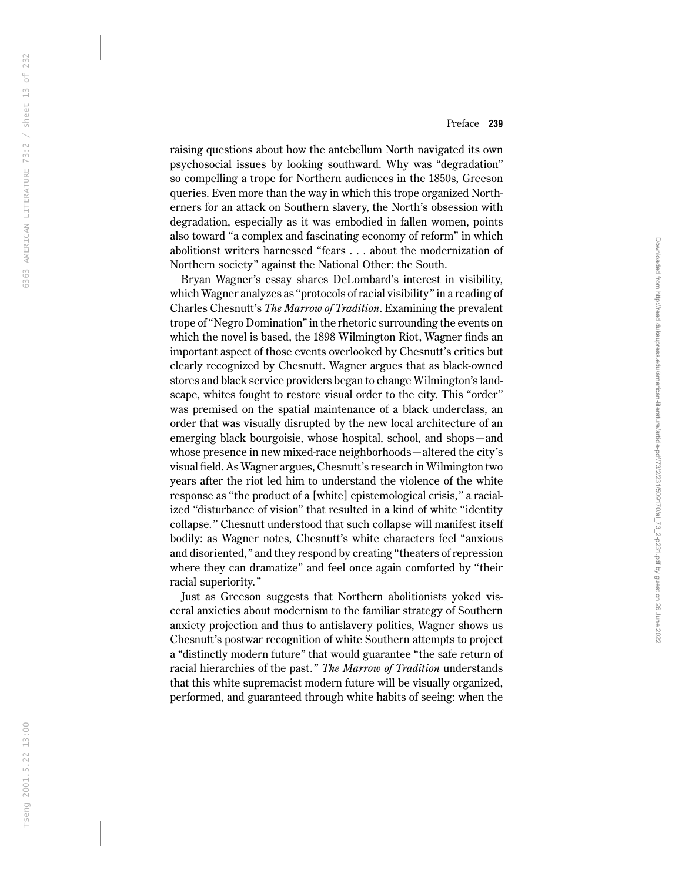raising questions about how the antebellum North navigated its own psychosocial issues by looking southward. Why was ''degradation'' so compelling a trope for Northern audiences in the 1850s, Greeson queries. Even more than the way in which this trope organized Northerners for an attack on Southern slavery, the North's obsession with degradation, especially as it was embodied in fallen women, points also toward ''a complex and fascinating economy of reform'' in which abolitionst writers harnessed ''fears . . . about the modernization of Northern society'' against the National Other: the South.

Bryan Wagner's essay shares DeLombard's interest in visibility, which Wagner analyzes as ''protocols of racial visibility'' in a reading of Charles Chesnutt's *The Marrow of Tradition*. Examining the prevalent trope of ''Negro Domination'' in the rhetoric surrounding the events on which the novel is based, the 1898 Wilmington Riot, Wagner finds an important aspect of those events overlooked by Chesnutt's critics but clearly recognized by Chesnutt. Wagner argues that as black-owned stores and black service providers began to change Wilmington's landscape, whites fought to restore visual order to the city. This ''order'' was premised on the spatial maintenance of a black underclass, an order that was visually disrupted by the new local architecture of an emerging black bourgoisie, whose hospital, school, and shops—and whose presence in new mixed-race neighborhoods—altered the city's visual field. As Wagner argues, Chesnutt's research in Wilmington two years after the riot led him to understand the violence of the white response as ''the product of a [white] epistemological crisis,'' a racialized "disturbance of vision" that resulted in a kind of white "identity collapse.'' Chesnutt understood that such collapse will manifest itself bodily: as Wagner notes, Chesnutt's white characters feel ''anxious and disoriented,'' and they respond by creating ''theaters of repression where they can dramatize'' and feel once again comforted by ''their racial superiority.''

Just as Greeson suggests that Northern abolitionists yoked visceral anxieties about modernism to the familiar strategy of Southern anxiety projection and thus to antislavery politics, Wagner shows us Chesnutt's postwar recognition of white Southern attempts to project a ''distinctly modern future'' that would guarantee ''the safe return of racial hierarchies of the past.'' *The Marrow of Tradition* understands that this white supremacist modern future will be visually organized, performed, and guaranteed through white habits of seeing: when the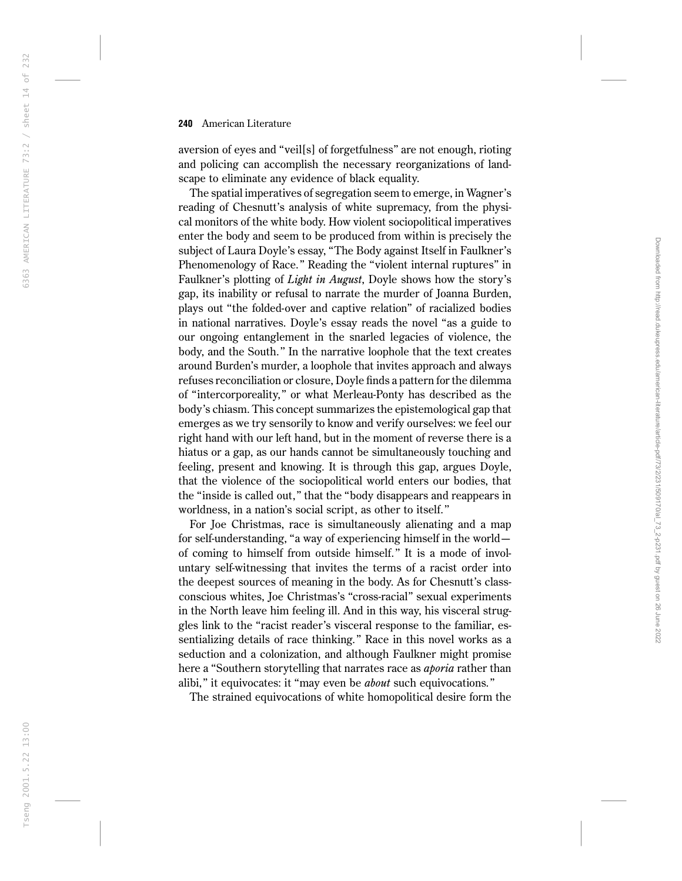aversion of eyes and ''veil[s] of forgetfulness'' are not enough, rioting and policing can accomplish the necessary reorganizations of landscape to eliminate any evidence of black equality.

The spatial imperatives of segregation seem to emerge, in Wagner's reading of Chesnutt's analysis of white supremacy, from the physical monitors of the white body. How violent sociopolitical imperatives enter the body and seem to be produced from within is precisely the subject of Laura Doyle's essay, ''The Body against Itself in Faulkner's Phenomenology of Race.'' Reading the ''violent internal ruptures'' in Faulkner's plotting of *Light in August*, Doyle shows how the story's gap, its inability or refusal to narrate the murder of Joanna Burden, plays out ''the folded-over and captive relation'' of racialized bodies in national narratives. Doyle's essay reads the novel ''as a guide to our ongoing entanglement in the snarled legacies of violence, the body, and the South.'' In the narrative loophole that the text creates around Burden's murder, a loophole that invites approach and always refuses reconciliation or closure, Doyle finds a pattern for the dilemma of ''intercorporeality,'' or what Merleau-Ponty has described as the body's chiasm. This concept summarizes the epistemological gap that emerges as we try sensorily to know and verify ourselves: we feel our right hand with our left hand, but in the moment of reverse there is a hiatus or a gap, as our hands cannot be simultaneously touching and feeling, present and knowing. It is through this gap, argues Doyle, that the violence of the sociopolitical world enters our bodies, that the ''inside is called out,'' that the ''body disappears and reappears in worldness, in a nation's social script, as other to itself.''

For Joe Christmas, race is simultaneously alienating and a map for self-understanding, "a way of experiencing himself in the world of coming to himself from outside himself.'' It is a mode of involuntary self-witnessing that invites the terms of a racist order into the deepest sources of meaning in the body. As for Chesnutt's classconscious whites, Joe Christmas's ''cross-racial'' sexual experiments in the North leave him feeling ill. And in this way, his visceral struggles link to the ''racist reader's visceral response to the familiar, essentializing details of race thinking.'' Race in this novel works as a seduction and a colonization, and although Faulkner might promise here a ''Southern storytelling that narrates race as *aporia* rather than alibi,'' it equivocates: it ''may even be *about* such equivocations.''

The strained equivocations of white homopolitical desire form the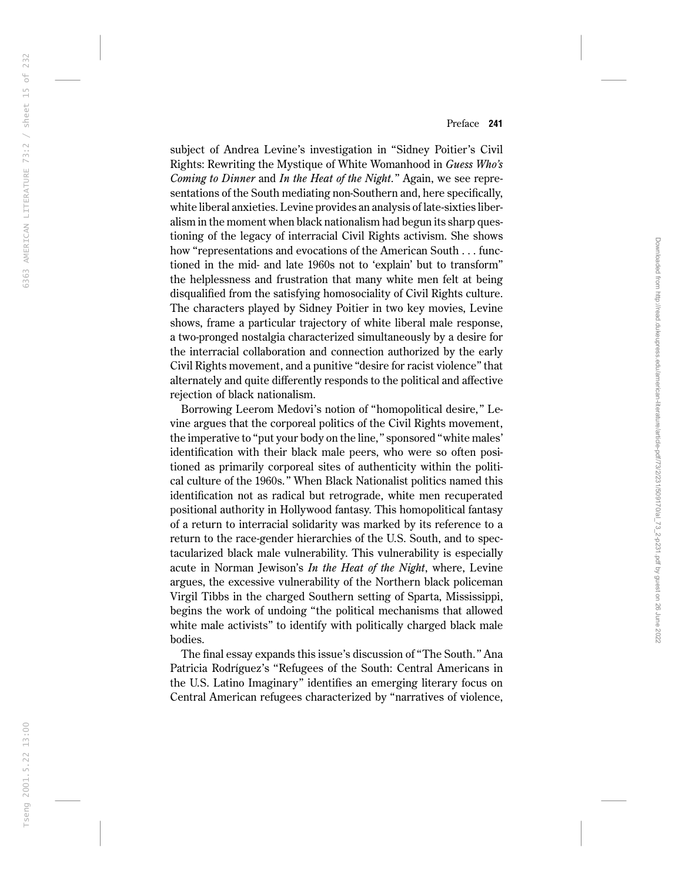subject of Andrea Levine's investigation in ''Sidney Poitier's Civil Rights: Rewriting the Mystique of White Womanhood in *Guess Who's Coming to Dinner* and *In the Heat of the Night*.'' Again, we see representations of the South mediating non-Southern and, here specifically, white liberal anxieties. Levine provides an analysis of late-sixties liberalism in the moment when black nationalism had begun its sharp questioning of the legacy of interracial Civil Rights activism. She shows how "representations and evocations of the American South . . . functioned in the mid- and late 1960s not to 'explain' but to transform'' the helplessness and frustration that many white men felt at being disqualified from the satisfying homosociality of Civil Rights culture. The characters played by Sidney Poitier in two key movies, Levine shows, frame a particular trajectory of white liberal male response, a two-pronged nostalgia characterized simultaneously by a desire for the interracial collaboration and connection authorized by the early Civil Rights movement, and a punitive ''desire for racist violence'' that alternately and quite differently responds to the political and affective rejection of black nationalism.

Borrowing Leerom Medovi's notion of ''homopolitical desire,'' Levine argues that the corporeal politics of the Civil Rights movement, the imperative to ''put your body on the line,'' sponsored ''white males' identification with their black male peers, who were so often positioned as primarily corporeal sites of authenticity within the political culture of the 1960s.'' When Black Nationalist politics named this identification not as radical but retrograde, white men recuperated positional authority in Hollywood fantasy. This homopolitical fantasy of a return to interracial solidarity was marked by its reference to a return to the race-gender hierarchies of the U.S. South, and to spectacularized black male vulnerability. This vulnerability is especially acute in Norman Jewison's *In the Heat of the Night*, where, Levine argues, the excessive vulnerability of the Northern black policeman Virgil Tibbs in the charged Southern setting of Sparta, Mississippi, begins the work of undoing ''the political mechanisms that allowed white male activists" to identify with politically charged black male bodies.

The final essay expands this issue's discussion of ''The South.'' Ana Patricia Rodríguez's ''Refugees of the South: Central Americans in the U.S. Latino Imaginary'' identifies an emerging literary focus on Central American refugees characterized by ''narratives of violence,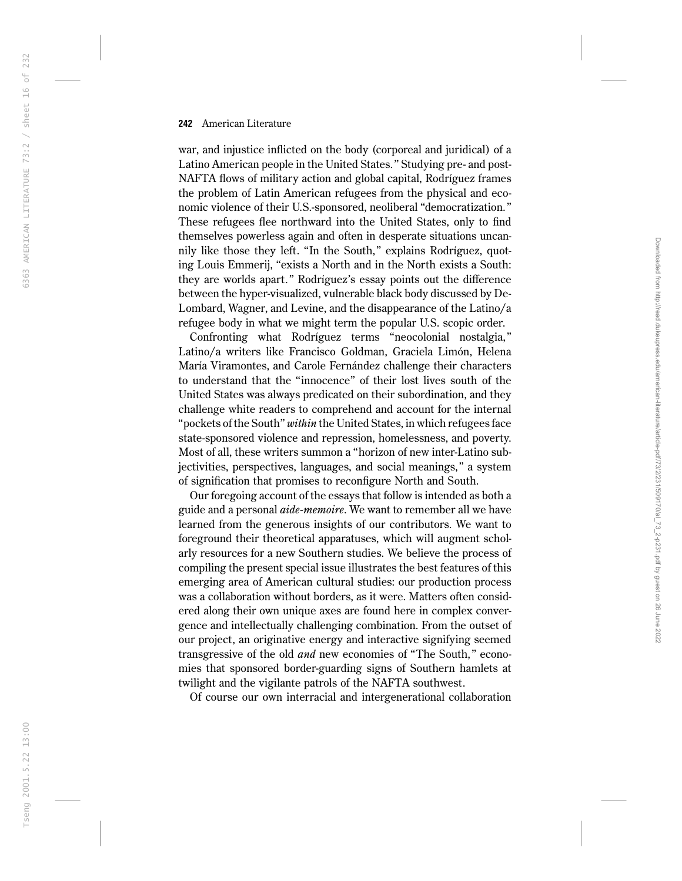war, and injustice inflicted on the body (corporeal and juridical) of a Latino American people in the United States.'' Studying pre- and post-NAFTA flows of military action and global capital, Rodríguez frames the problem of Latin American refugees from the physical and economic violence of their U.S.-sponsored, neoliberal ''democratization.'' These refugees flee northward into the United States, only to find themselves powerless again and often in desperate situations uncannily like those they left. "In the South," explains Rodríguez, quoting Louis Emmerij, "exists a North and in the North exists a South: they are worlds apart.'' Rodríguez's essay points out the difference between the hyper-visualized, vulnerable black body discussed by De-Lombard, Wagner, and Levine, and the disappearance of the Latino/a refugee body in what we might term the popular U.S. scopic order.

Confronting what Rodríguez terms ''neocolonial nostalgia,'' Latino/a writers like Francisco Goldman, Graciela Limón, Helena María Viramontes, and Carole Fernández challenge their characters to understand that the ''innocence'' of their lost lives south of the United States was always predicated on their subordination, and they challenge white readers to comprehend and account for the internal ''pockets of the South'' *within* the United States, in which refugees face state-sponsored violence and repression, homelessness, and poverty. Most of all, these writers summon a ''horizon of new inter-Latino subjectivities, perspectives, languages, and social meanings,'' a system of signification that promises to reconfigure North and South.

Our foregoing account of the essays that follow is intended as both a guide and a personal *aide-memoire*. We want to remember all we have learned from the generous insights of our contributors. We want to foreground their theoretical apparatuses, which will augment scholarly resources for a new Southern studies. We believe the process of compiling the present special issue illustrates the best features of this emerging area of American cultural studies: our production process was a collaboration without borders, as it were. Matters often considered along their own unique axes are found here in complex convergence and intellectually challenging combination. From the outset of our project, an originative energy and interactive signifying seemed transgressive of the old *and* new economies of ''The South,'' economies that sponsored border-guarding signs of Southern hamlets at twilight and the vigilante patrols of the NAFTA southwest.

Of course our own interracial and intergenerational collaboration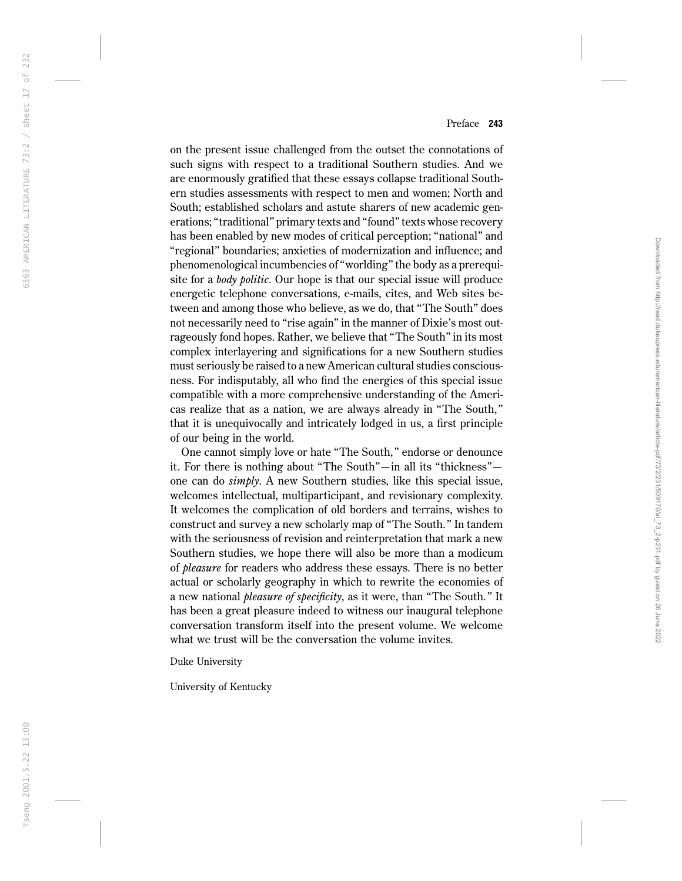on the present issue challenged from the outset the connotations of such signs with respect to a traditional Southern studies. And we are enormously gratified that these essays collapse traditional Southern studies assessments with respect to men and women; North and South; established scholars and astute sharers of new academic generations; ''traditional'' primary texts and ''found'' texts whose recovery has been enabled by new modes of critical perception; ''national'' and "regional" boundaries; anxieties of modernization and influence; and phenomenological incumbencies of ''worlding'' the body as a prerequisite for a *body politic*. Our hope is that our special issue will produce energetic telephone conversations, e-mails, cites, and Web sites between and among those who believe, as we do, that ''The South'' does not necessarily need to "rise again" in the manner of Dixie's most outrageously fond hopes. Rather, we believe that ''The South'' in its most complex interlayering and significations for a new Southern studies must seriously be raised to a new American cultural studies consciousness. For indisputably, all who find the energies of this special issue compatible with a more comprehensive understanding of the Americas realize that as a nation, we are always already in ''The South,'' that it is unequivocally and intricately lodged in us, a first principle of our being in the world.

One cannot simply love or hate ''The South,'' endorse or denounce it. For there is nothing about ''The South''—in all its ''thickness'' one can do *simply*. A new Southern studies, like this special issue, welcomes intellectual, multiparticipant, and revisionary complexity. It welcomes the complication of old borders and terrains, wishes to construct and survey a new scholarly map of ''The South.'' In tandem with the seriousness of revision and reinterpretation that mark a new Southern studies, we hope there will also be more than a modicum of *pleasure* for readers who address these essays. There is no better actual or scholarly geography in which to rewrite the economies of a new national *pleasure of specificity*, as it were, than ''The South.'' It has been a great pleasure indeed to witness our inaugural telephone conversation transform itself into the present volume. We welcome what we trust will be the conversation the volume invites.

Duke University

University of Kentucky